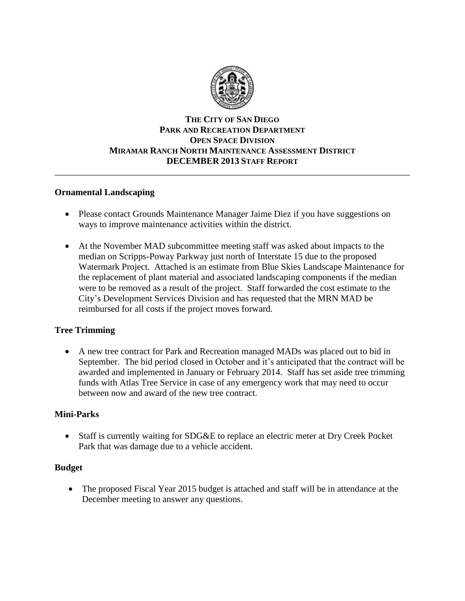

### **THE CITY OF SAN DIEGO PARK AND RECREATION DEPARTMENT OPEN SPACE DIVISION MIRAMAR RANCH NORTH MAINTENANCE ASSESSMENT DISTRICT DECEMBER 2013 STAFF REPORT**

\_\_\_\_\_\_\_\_\_\_\_\_\_\_\_\_\_\_\_\_\_\_\_\_\_\_\_\_\_\_\_\_\_\_\_\_\_\_\_\_\_\_\_\_\_\_\_\_\_\_\_\_\_\_\_\_\_\_\_\_\_\_\_\_\_\_\_\_\_\_\_\_\_\_\_\_\_\_

#### **Ornamental Landscaping**

- Please contact Grounds Maintenance Manager Jaime Diez if you have suggestions on ways to improve maintenance activities within the district.
- At the November MAD subcommittee meeting staff was asked about impacts to the median on Scripps-Poway Parkway just north of Interstate 15 due to the proposed Watermark Project. Attached is an estimate from Blue Skies Landscape Maintenance for the replacement of plant material and associated landscaping components if the median were to be removed as a result of the project. Staff forwarded the cost estimate to the City's Development Services Division and has requested that the MRN MAD be reimbursed for all costs if the project moves forward.

### **Tree Trimming**

 A new tree contract for Park and Recreation managed MADs was placed out to bid in September. The bid period closed in October and it's anticipated that the contract will be awarded and implemented in January or February 2014. Staff has set aside tree trimming funds with Atlas Tree Service in case of any emergency work that may need to occur between now and award of the new tree contract.

### **Mini-Parks**

 Staff is currently waiting for SDG&E to replace an electric meter at Dry Creek Pocket Park that was damage due to a vehicle accident.

### **Budget**

• The proposed Fiscal Year 2015 budget is attached and staff will be in attendance at the December meeting to answer any questions.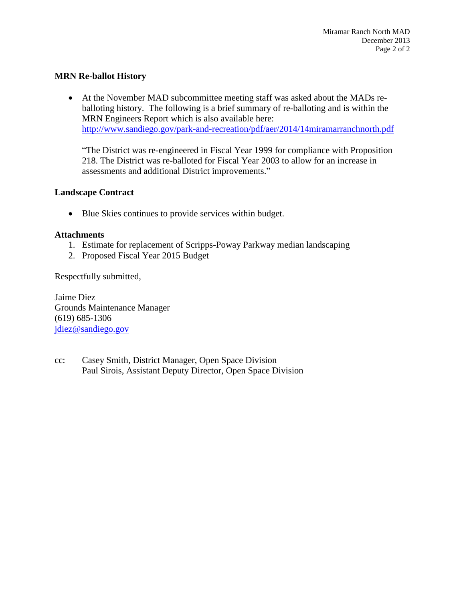#### **MRN Re-ballot History**

 At the November MAD subcommittee meeting staff was asked about the MADs reballoting history. The following is a brief summary of re-balloting and is within the MRN Engineers Report which is also available here: <http://www.sandiego.gov/park-and-recreation/pdf/aer/2014/14miramarranchnorth.pdf>

"The District was re-engineered in Fiscal Year 1999 for compliance with Proposition 218. The District was re-balloted for Fiscal Year 2003 to allow for an increase in assessments and additional District improvements."

#### **Landscape Contract**

• Blue Skies continues to provide services within budget.

#### **Attachments**

- 1. Estimate for replacement of Scripps-Poway Parkway median landscaping
- 2. Proposed Fiscal Year 2015 Budget

Respectfully submitted,

Jaime Diez Grounds Maintenance Manager (619) 685-1306 [jdiez@sandiego.gov](mailto:jdiez@sandiego.gov)

cc: Casey Smith, District Manager, Open Space Division Paul Sirois, Assistant Deputy Director, Open Space Division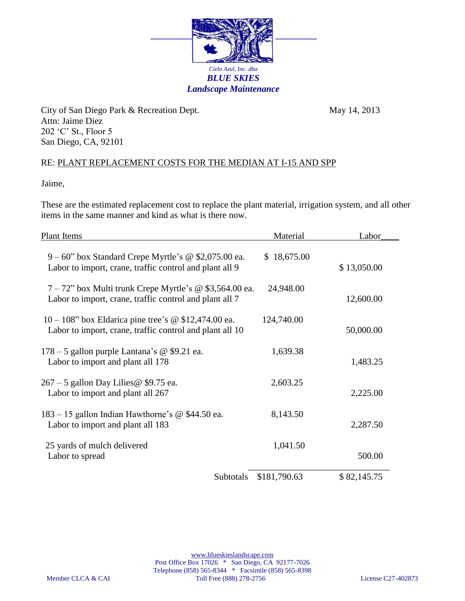

City of San Diego Park & Recreation Dept. May 14, 2013 Attn: Jaime Diez 202 'C' St., Floor 5 San Diego, CA, 92101

## RE: PLANT REPLACEMENT COSTS FOR THE MEDIAN AT I-15 AND SPP

Jaime,

These are the estimated replacement cost to replace the plant material, irrigation system, and all other items in the same manner and kind as what is there now.

| <b>Plant Items</b>                                                                                                    | Material     | Labor       |
|-----------------------------------------------------------------------------------------------------------------------|--------------|-------------|
| $9 - 60$ " box Standard Crepe Myrtle's @ \$2,075.00 ea.<br>Labor to import, crane, traffic control and plant all 9    | \$18,675.00  | \$13,050.00 |
| $7 - 72$ " box Multi trunk Crepe Myrtle's @ \$3,564.00 ea.<br>Labor to import, crane, traffic control and plant all 7 | 24,948.00    | 12,600.00   |
| $10 - 108$ " box Eldarica pine tree's @ \$12,474.00 ea.<br>Labor to import, crane, traffic control and plant all 10   | 124,740.00   | 50,000.00   |
| 178 - 5 gallon purple Lantana's @ \$9.21 ea.<br>Labor to import and plant all 178                                     | 1,639.38     | 1,483.25    |
| 267 – 5 gallon Day Lilies @ \$9.75 ea.<br>Labor to import and plant all 267                                           | 2,603.25     | 2,225.00    |
| 183 – 15 gallon Indian Hawthorne's @ \$44.50 ea.<br>Labor to import and plant all 183                                 | 8,143.50     | 2,287.50    |
| 25 yards of mulch delivered<br>Labor to spread                                                                        | 1,041.50     | 500.00      |
| Subtotals                                                                                                             | \$181,790.63 | \$82,145.75 |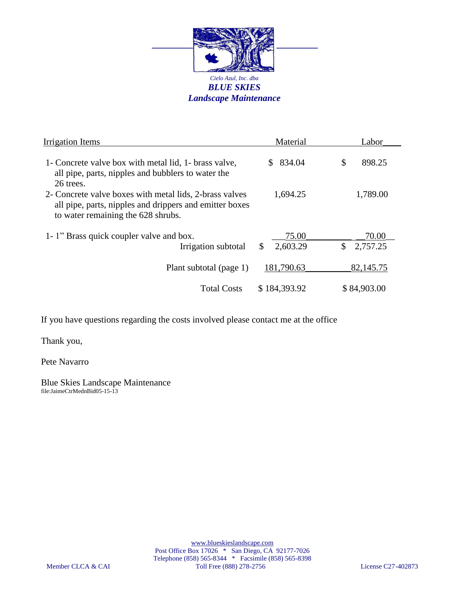

| Irrigation Items                                                                                                                                         | Material               | Labor                             |
|----------------------------------------------------------------------------------------------------------------------------------------------------------|------------------------|-----------------------------------|
| 1- Concrete valve box with metal lid, 1- brass valve,<br>all pipe, parts, nipples and bubblers to water the<br>26 trees.                                 | 834.04<br>SS.          | \$<br>898.25                      |
| 2- Concrete valve boxes with metal lids, 2-brass valves<br>all pipe, parts, nipples and drippers and emitter boxes<br>to water remaining the 628 shrubs. | 1,694.25               | 1,789.00                          |
| 1-1" Brass quick coupler valve and box.<br>Irrigation subtotal                                                                                           | 75.00<br>2,603.29<br>S | 70.00<br>$\mathbb{S}$<br>2,757.25 |
| Plant subtotal (page 1)                                                                                                                                  | 181,790.63             | 82,145.75                         |
| <b>Total Costs</b>                                                                                                                                       | \$184,393.92           | \$84,903.00                       |

If you have questions regarding the costs involved please contact me at the office

Thank you,

Pete Navarro

Blue Skies Landscape Maintenance file:JaimeCtrMednBid05-15-13